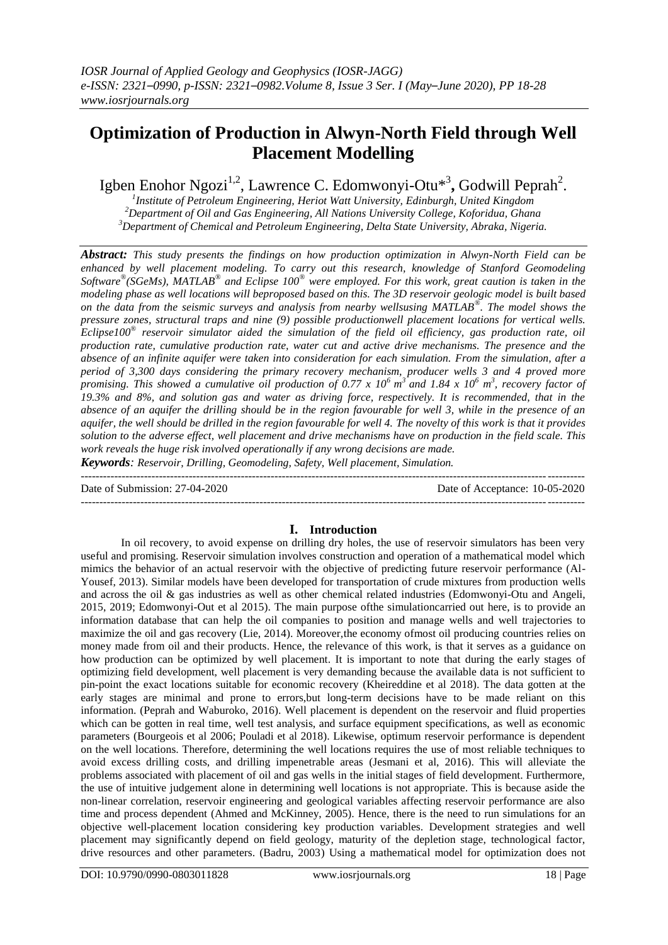# **Optimization of Production in Alwyn-North Field through Well Placement Modelling**

Igben Enohor Ngozi<sup>1,2</sup>, Lawrence C. Edomwonyi-Otu<sup>\*3</sup>, Godwill Peprah<sup>2</sup>.

*1 Institute of Petroleum Engineering, Heriot Watt University, Edinburgh, United Kingdom <sup>2</sup>Department of Oil and Gas Engineering, All Nations University College, Koforidua, Ghana <sup>3</sup>Department of Chemical and Petroleum Engineering, Delta State University, Abraka, Nigeria.*

*Abstract: This study presents the findings on how production optimization in Alwyn-North Field can be enhanced by well placement modeling. To carry out this research, knowledge of Stanford Geomodeling Software® (SGeMs), MATLAB® and Eclipse 100® were employed. For this work, great caution is taken in the modeling phase as well locations will beproposed based on this. The 3D reservoir geologic model is built based on the data from the seismic surveys and analysis from nearby wellsusing MATLAB® . The model shows the pressure zones, structural traps and nine (9) possible productionwell placement locations for vertical wells. Eclipse100® reservoir simulator aided the simulation of the field oil efficiency, gas production rate, oil production rate, cumulative production rate, water cut and active drive mechanisms. The presence and the absence of an infinite aquifer were taken into consideration for each simulation. From the simulation, after a period of 3,300 days considering the primary recovery mechanism, producer wells 3 and 4 proved more promising. This showed a cumulative oil production of 0.77 x 10<sup>6</sup>m <sup>3</sup>and 1.84 x 10<sup>6</sup> m 3 , recovery factor of 19.3% and 8%, and solution gas and water as driving force, respectively. It is recommended, that in the absence of an aquifer the drilling should be in the region favourable for well 3, while in the presence of an aquifer, the well should be drilled in the region favourable for well 4. The novelty of this work is that it provides solution to the adverse effect, well placement and drive mechanisms have on production in the field scale. This work reveals the huge risk involved operationally if any wrong decisions are made.*

*Keywords: Reservoir, Drilling, Geomodeling, Safety, Well placement, Simulation.*

--------------------------------------------------------------------------------------------------------------------------------------- Date of Submission: 27-04-2020 ---------------------------------------------------------------------------------------------------------------------------------------

# **I. Introduction**

In oil recovery, to avoid expense on drilling dry holes, the use of reservoir simulators has been very useful and promising. Reservoir simulation involves construction and operation of a mathematical model which mimics the behavior of an actual reservoir with the objective of predicting future reservoir performance (Al-Yousef, 2013). Similar models have been developed for transportation of crude mixtures from production wells and across the oil & gas industries as well as other chemical related industries (Edomwonyi-Otu and Angeli, 2015, 2019; Edomwonyi-Out et al 2015). The main purpose ofthe simulationcarried out here, is to provide an information database that can help the oil companies to position and manage wells and well trajectories to maximize the oil and gas recovery (Lie, 2014). Moreover,the economy ofmost oil producing countries relies on money made from oil and their products. Hence, the relevance of this work, is that it serves as a guidance on how production can be optimized by well placement. It is important to note that during the early stages of optimizing field development, well placement is very demanding because the available data is not sufficient to pin-point the exact locations suitable for economic recovery (Kheireddine et al 2018). The data gotten at the early stages are minimal and prone to errors,but long-term decisions have to be made reliant on this information. (Peprah and Waburoko, 2016). Well placement is dependent on the reservoir and fluid properties which can be gotten in real time, well test analysis, and surface equipment specifications, as well as economic parameters (Bourgeois et al 2006; Pouladi et al 2018). Likewise, optimum reservoir performance is dependent on the well locations. Therefore, determining the well locations requires the use of most reliable techniques to avoid excess drilling costs, and drilling impenetrable areas (Jesmani et al, 2016). This will alleviate the problems associated with placement of oil and gas wells in the initial stages of field development. Furthermore, the use of intuitive judgement alone in determining well locations is not appropriate. This is because aside the non-linear correlation, reservoir engineering and geological variables affecting reservoir performance are also time and process dependent (Ahmed and McKinney, 2005). Hence, there is the need to run simulations for an objective well-placement location considering key production variables. Development strategies and well placement may significantly depend on field geology, maturity of the depletion stage, technological factor, drive resources and other parameters. (Badru, 2003) Using a mathematical model for optimization does not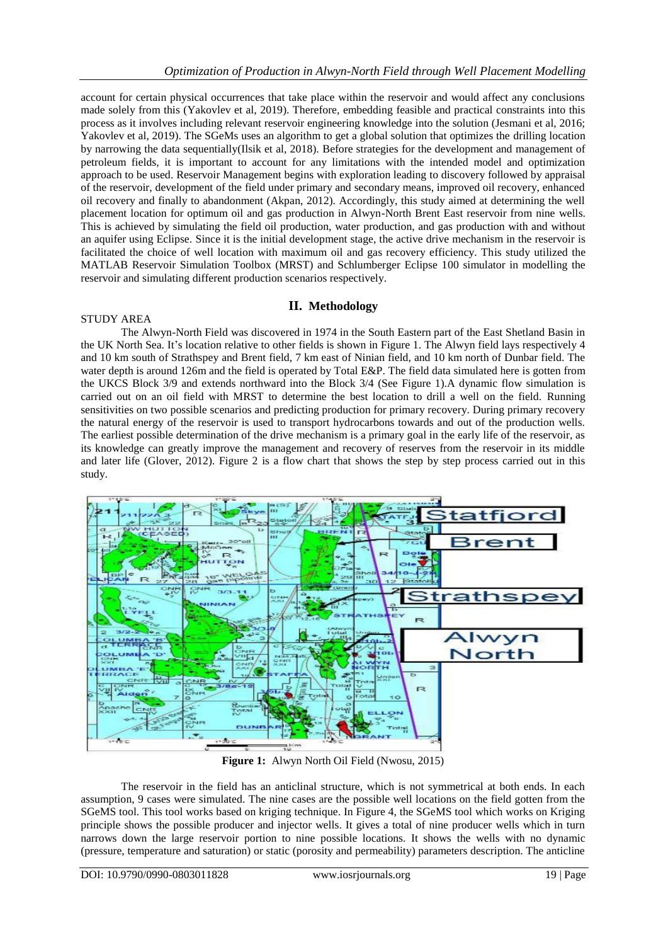account for certain physical occurrences that take place within the reservoir and would affect any conclusions made solely from this (Yakovlev et al, 2019). Therefore, embedding feasible and practical constraints into this process as it involves including relevant reservoir engineering knowledge into the solution (Jesmani et al, 2016; Yakovlev et al, 2019). The SGeMs uses an algorithm to get a global solution that optimizes the drilling location by narrowing the data sequentially(Ilsik et al, 2018). Before strategies for the development and management of petroleum fields, it is important to account for any limitations with the intended model and optimization approach to be used. Reservoir Management begins with exploration leading to discovery followed by appraisal of the reservoir, development of the field under primary and secondary means, improved oil recovery, enhanced oil recovery and finally to abandonment (Akpan, 2012). Accordingly, this study aimed at determining the well placement location for optimum oil and gas production in Alwyn-North Brent East reservoir from nine wells. This is achieved by simulating the field oil production, water production, and gas production with and without an aquifer using Eclipse. Since it is the initial development stage, the active drive mechanism in the reservoir is facilitated the choice of well location with maximum oil and gas recovery efficiency. This study utilized the MATLAB Reservoir Simulation Toolbox (MRST) and Schlumberger Eclipse 100 simulator in modelling the reservoir and simulating different production scenarios respectively.

# **II. Methodology**

## STUDY AREA

The Alwyn-North Field was discovered in 1974 in the South Eastern part of the East Shetland Basin in the UK North Sea. It's location relative to other fields is shown in Figure 1. The Alwyn field lays respectively 4 and 10 km south of Strathspey and Brent field, 7 km east of Ninian field, and 10 km north of Dunbar field. The water depth is around 126m and the field is operated by Total E&P. The field data simulated here is gotten from the UKCS Block 3/9 and extends northward into the Block 3/4 (See Figure 1).A dynamic flow simulation is carried out on an oil field with MRST to determine the best location to drill a well on the field. Running sensitivities on two possible scenarios and predicting production for primary recovery. During primary recovery the natural energy of the reservoir is used to transport hydrocarbons towards and out of the production wells. The earliest possible determination of the drive mechanism is a primary goal in the early life of the reservoir, as its knowledge can greatly improve the management and recovery of reserves from the reservoir in its middle and later life (Glover, 2012). Figure 2 is a flow chart that shows the step by step process carried out in this study.



**Figure 1:** Alwyn North Oil Field (Nwosu, 2015)

The reservoir in the field has an anticlinal structure, which is not symmetrical at both ends. In each assumption, 9 cases were simulated. The nine cases are the possible well locations on the field gotten from the SGeMS tool. This tool works based on kriging technique. In Figure 4, the SGeMS tool which works on Kriging principle shows the possible producer and injector wells. It gives a total of nine producer wells which in turn narrows down the large reservoir portion to nine possible locations. It shows the wells with no dynamic (pressure, temperature and saturation) or static (porosity and permeability) parameters description. The anticline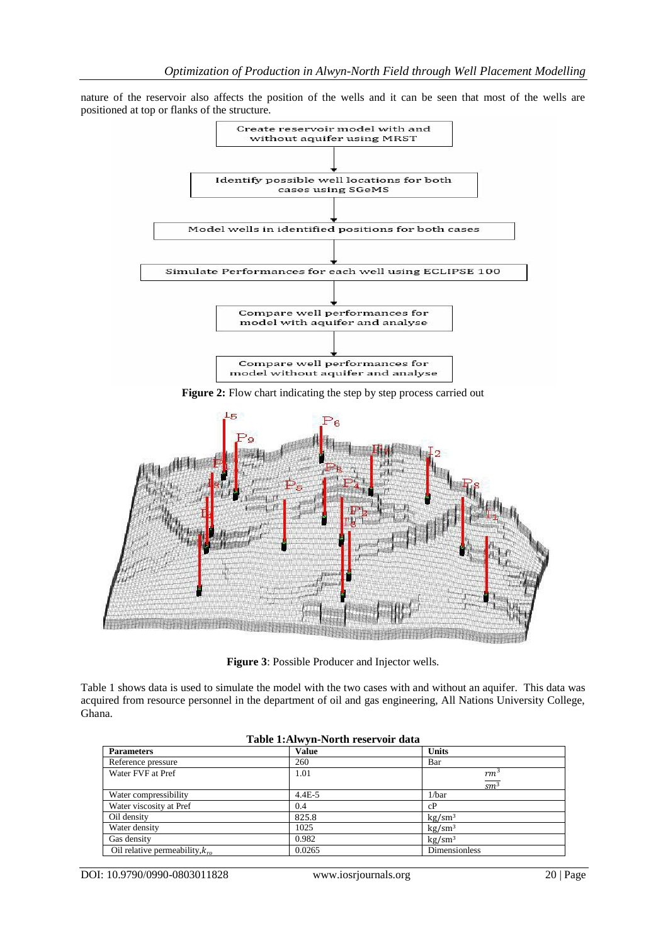nature of the reservoir also affects the position of the wells and it can be seen that most of the wells are positioned at top or flanks of the structure.



**Figure 2:** Flow chart indicating the step by step process carried out



**Figure 3**: Possible Producer and Injector wells.

Table 1 shows data is used to simulate the model with the two cases with and without an aquifer. This data was acquired from resource personnel in the department of oil and gas engineering, All Nations University College, Ghana.

| Table 1.AIW yn-1991 til Tesel von 'data' |              |                    |  |
|------------------------------------------|--------------|--------------------|--|
| <b>Parameters</b>                        | <b>Value</b> | <b>Units</b>       |  |
| Reference pressure                       | 260          | Bar                |  |
| Water FVF at Pref                        | 1.01         | $rm^3$             |  |
|                                          |              | $\overline{sm^3}$  |  |
| Water compressibility                    | $4.4E - 5$   | 1/bar              |  |
| Water viscosity at Pref                  | 0.4          | cP                 |  |
| Oil density                              | 825.8        | kg/sm <sup>3</sup> |  |
| Water density                            | 1025         | kg/sm <sup>3</sup> |  |
| Gas density                              | 0.982        | kg/sm <sup>3</sup> |  |
| Oil relative permeability, $k_{ra}$      | 0.0265       | Dimensionless      |  |

|  |  |  | Table 1: Alwyn-North reservoir data |  |
|--|--|--|-------------------------------------|--|
|--|--|--|-------------------------------------|--|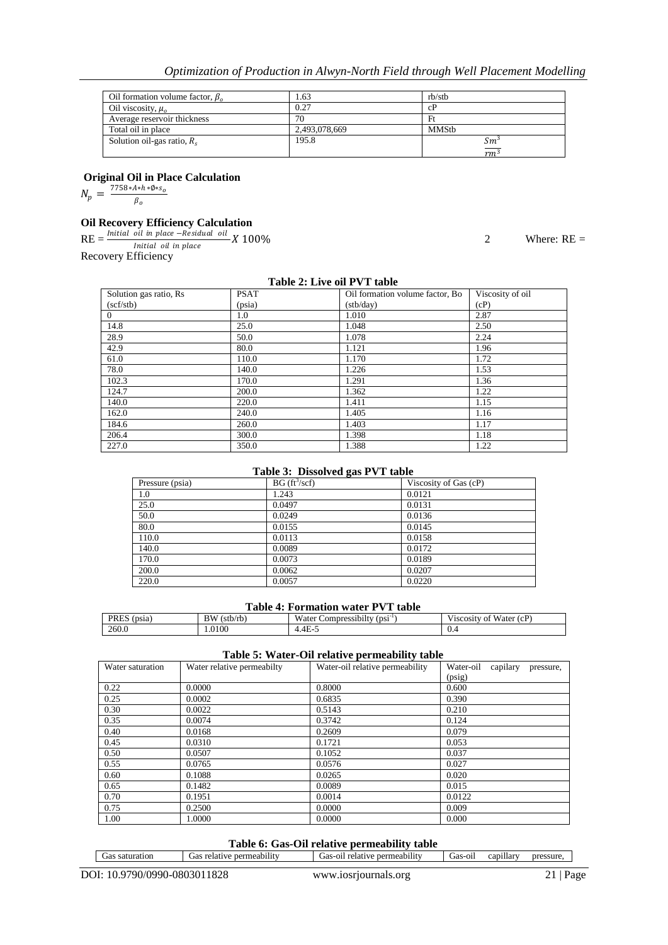| Oil formation volume factor, $\beta_0$ | 1.63          | rb/stb          |
|----------------------------------------|---------------|-----------------|
| Oil viscosity, $\mu_{\alpha}$          | 0.27          | cP              |
| Average reservoir thickness            | 70            | Ft              |
| Total oil in place                     | 2,493,078,669 | MMStb           |
| Solution oil-gas ratio, $R_s$          | 195.8         | $Sm^3$          |
|                                        |               | rm <sub>i</sub> |

**Original Oil in Place Calculation**

 $N_p = \frac{7758 * A * h * \emptyset * s_o}{B}$ 

 $\beta_o$ 

# **Oil Recovery Efficiency Calculation**

 $\text{RE} = \frac{\text{Initial oil in place}-\text{Residual oil}}{\text{Initial oil in place}}$ Recovery Efficiency

2 Where:  $RE =$ 

| Table 2: Live oil PVT table |             |                                 |                  |  |
|-----------------------------|-------------|---------------------------------|------------------|--|
| Solution gas ratio, Rs      | <b>PSAT</b> | Oil formation volume factor, Bo | Viscosity of oil |  |
| (scf/stb)                   | (psia)      | (stb/day)                       | (cP)             |  |
| $\Omega$                    | 1.0         | 1.010                           | 2.87             |  |
| 14.8                        | 25.0        | 1.048                           | 2.50             |  |
| 28.9                        | 50.0        | 1.078                           | 2.24             |  |
| 42.9                        | 80.0        | 1.121                           | 1.96             |  |
| 61.0                        | 110.0       | 1.170                           | 1.72             |  |
| 78.0                        | 140.0       | 1.226                           | 1.53             |  |
| 102.3                       | 170.0       | 1.291                           | 1.36             |  |
| 124.7                       | 200.0       | 1.362                           | 1.22             |  |
| 140.0                       | 220.0       | 1.411                           | 1.15             |  |
| 162.0                       | 240.0       | 1.405                           | 1.16             |  |
| 184.6                       | 260.0       | 1.403                           | 1.17             |  |
| 206.4                       | 300.0       | 1.398                           | 1.18             |  |
| 227.0                       | 350.0       | 1.388                           | 1.22             |  |

#### **Table 3: Dissolved gas PVT table**

| Pressure (psia) | BG (ft <sup>3</sup> /scf) | Viscosity of Gas (cP) |  |  |
|-----------------|---------------------------|-----------------------|--|--|
| 1.0             | 1.243                     | 0.0121                |  |  |
| 25.0            | 0.0497                    | 0.0131                |  |  |
| 50.0            | 0.0249                    | 0.0136                |  |  |
| 80.0            | 0.0155                    | 0.0145                |  |  |
| 110.0           | 0.0113                    | 0.0158                |  |  |
| 140.0           | 0.0089                    | 0.0172                |  |  |
| 170.0           | 0.0073                    | 0.0189                |  |  |
| 200.0           | 0.0062                    | 0.0207                |  |  |
| 220.0           | 0.0057                    | 0.0220                |  |  |

#### **Table 4: Formation water PVT table**

| ___________________________________<br>.<br>---------- |                |                                                                                                     |                                                       |
|--------------------------------------------------------|----------------|-----------------------------------------------------------------------------------------------------|-------------------------------------------------------|
| <b>PRES</b><br>' <sub>DS1a</sub>                       | BW<br>(stb/rb) | $\ddot{\phantom{0}}$<br>$- - -$<br>$\bullet$ $\bullet$ $\bullet$<br>(DS1<br>Water<br>Compressibilty | $- - -$<br>Water (cP)<br>V <sub>1</sub> SCOS1tV<br>ОI |
| 260.0                                                  | 1.0100         | 1.4E-5                                                                                              | U.5                                                   |

#### **Table 5: Water-Oil relative permeability table**

| Water saturation | Water relative permeabilty | Water-oil relative permeability | Water-oil<br>capilary<br>pressure, |
|------------------|----------------------------|---------------------------------|------------------------------------|
|                  |                            |                                 | (psig)                             |
| 0.22             | 0.0000                     | 0.8000                          | 0.600                              |
| 0.25             | 0.0002                     | 0.6835                          | 0.390                              |
| 0.30             | 0.0022                     | 0.5143                          | 0.210                              |
| 0.35             | 0.0074                     | 0.3742                          | 0.124                              |
| 0.40             | 0.0168                     | 0.2609                          | 0.079                              |
| 0.45             | 0.0310                     | 0.1721                          | 0.053                              |
| 0.50             | 0.0507                     | 0.1052                          | 0.037                              |
| 0.55             | 0.0765                     | 0.0576                          | 0.027                              |
| 0.60             | 0.1088                     | 0.0265                          | 0.020                              |
| 0.65             | 0.1482                     | 0.0089                          | 0.015                              |
| 0.70             | 0.1951                     | 0.0014                          | 0.0122                             |
| 0.75             | 0.2500                     | 0.0000                          | 0.009                              |
| 1.00             | 1.0000                     | 0.0000                          | 0.000                              |

#### **Table 6: Gas-Oil relative permeability table**

| $\sim$ $\sim$<br>2an.<br><b>SSUIT</b><br>$\therefore$ nerr<br>$\therefore$ nerr<br>⊿llar<br>pres<br>saturation<br>rmeabun.<br>Gas-01l<br>meabılıt<br>า1<br>fas<br>. jas<br>.jas<br>етат<br>ve<br>۱۵۱۰. .<br>$\cdots$<br>⊆a∟ |
|-----------------------------------------------------------------------------------------------------------------------------------------------------------------------------------------------------------------------------|
|-----------------------------------------------------------------------------------------------------------------------------------------------------------------------------------------------------------------------------|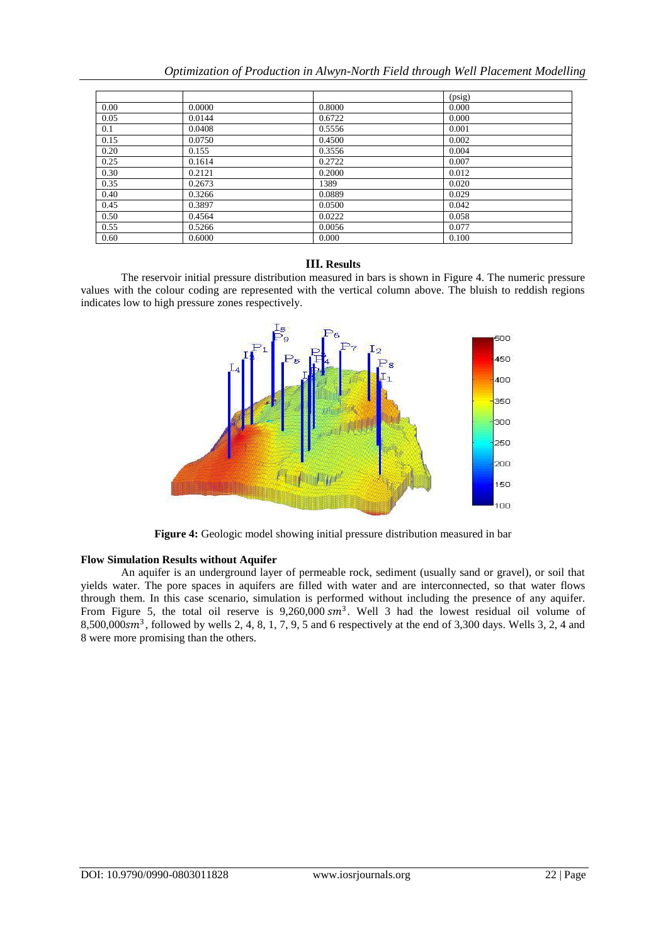|      |        |        | (psig) |
|------|--------|--------|--------|
| 0.00 | 0.0000 | 0.8000 | 0.000  |
| 0.05 | 0.0144 | 0.6722 | 0.000  |
| 0.1  | 0.0408 | 0.5556 | 0.001  |
| 0.15 | 0.0750 | 0.4500 | 0.002  |
| 0.20 | 0.155  | 0.3556 | 0.004  |
| 0.25 | 0.1614 | 0.2722 | 0.007  |
| 0.30 | 0.2121 | 0.2000 | 0.012  |
| 0.35 | 0.2673 | 1389   | 0.020  |
| 0.40 | 0.3266 | 0.0889 | 0.029  |
| 0.45 | 0.3897 | 0.0500 | 0.042  |
| 0.50 | 0.4564 | 0.0222 | 0.058  |
| 0.55 | 0.5266 | 0.0056 | 0.077  |
| 0.60 | 0.6000 | 0.000  | 0.100  |

### **III. Results**

The reservoir initial pressure distribution measured in bars is shown in Figure 4. The numeric pressure values with the colour coding are represented with the vertical column above. The bluish to reddish regions indicates low to high pressure zones respectively.



**Figure 4:** Geologic model showing initial pressure distribution measured in bar

#### **Flow Simulation Results without Aquifer**

An aquifer is an underground layer of permeable rock, sediment (usually sand or gravel), or soil that yields water. The pore spaces in aquifers are filled with water and are interconnected, so that water flows through them. In this case scenario, simulation is performed without including the presence of any aquifer. From Figure 5, the total oil reserve is  $9,260,000 \, \text{cm}^3$ . Well 3 had the lowest residual oil volume of 8,500,000 $\text{sm}^3$ , followed by wells 2, 4, 8, 1, 7, 9, 5 and 6 respectively at the end of 3,300 days. Wells 3, 2, 4 and 8 were more promising than the others.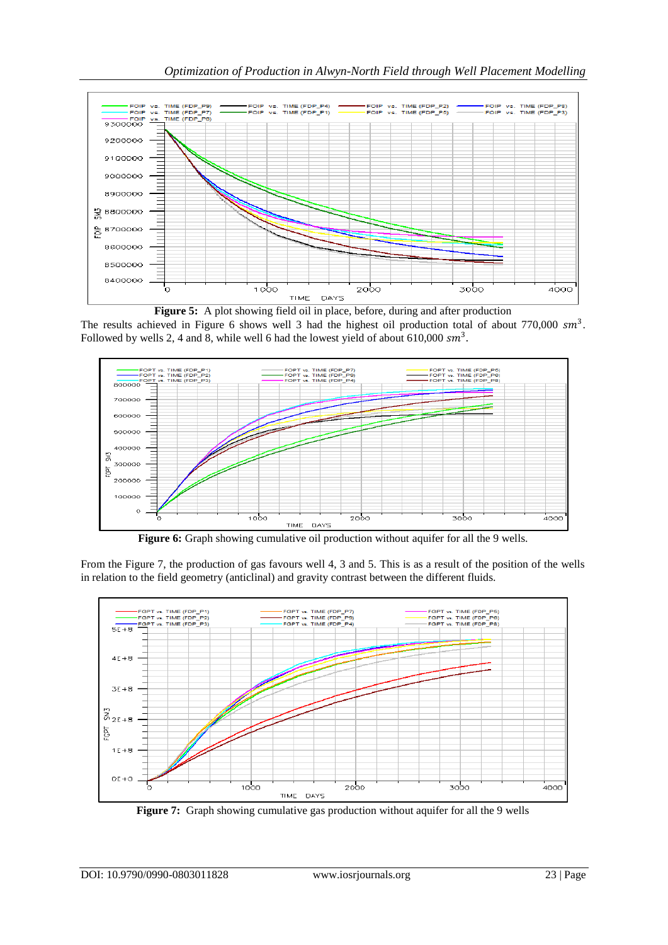

**Figure 5:** A plot showing field oil in place, before, during and after production The results achieved in Figure 6 shows well 3 had the highest oil production total of about 770,000  $sm^3$ . Followed by wells 2, 4 and 8, while well 6 had the lowest yield of about 610,000  $\text{sm}^3$ .



**Figure 6:** Graph showing cumulative oil production without aquifer for all the 9 wells.

From the Figure 7, the production of gas favours well 4, 3 and 5. This is as a result of the position of the wells in relation to the field geometry (anticlinal) and gravity contrast between the different fluids.



Figure 7: Graph showing cumulative gas production without aquifer for all the 9 wells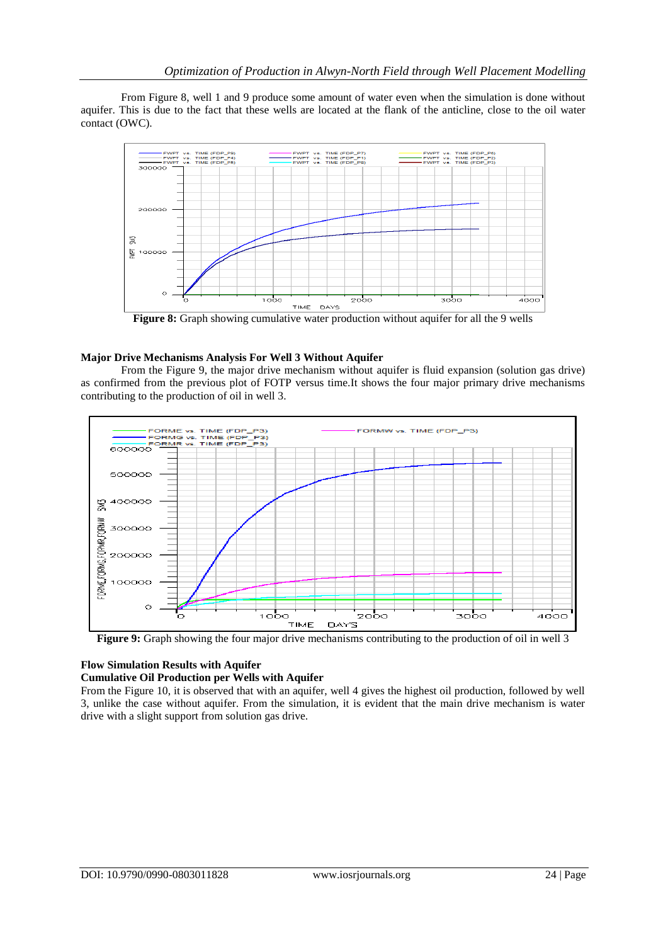From Figure 8, well 1 and 9 produce some amount of water even when the simulation is done without aquifer. This is due to the fact that these wells are located at the flank of the anticline, close to the oil water contact (OWC).



Figure 8: Graph showing cumulative water production without aquifer for all the 9 wells

# **Major Drive Mechanisms Analysis For Well 3 Without Aquifer**

From the Figure 9, the major drive mechanism without aquifer is fluid expansion (solution gas drive) as confirmed from the previous plot of FOTP versus time.It shows the four major primary drive mechanisms contributing to the production of oil in well 3.



**Figure 9:** Graph showing the four major drive mechanisms contributing to the production of oil in well 3

# **Flow Simulation Results with Aquifer**

# **Cumulative Oil Production per Wells with Aquifer**

From the Figure 10, it is observed that with an aquifer, well 4 gives the highest oil production, followed by well 3, unlike the case without aquifer. From the simulation, it is evident that the main drive mechanism is water drive with a slight support from solution gas drive.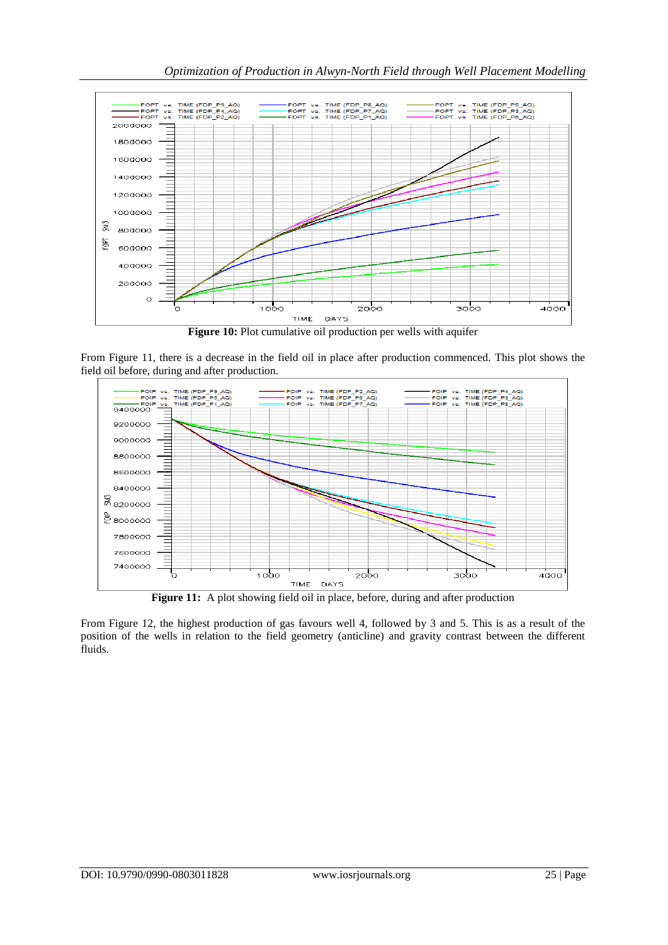

**Figure 10:** Plot cumulative oil production per wells with aquifer

From Figure 11, there is a decrease in the field oil in place after production commenced. This plot shows the field oil before, during and after production.



From Figure 12, the highest production of gas favours well 4, followed by 3 and 5. This is as a result of the position of the wells in relation to the field geometry (anticline) and gravity contrast between the different fluids.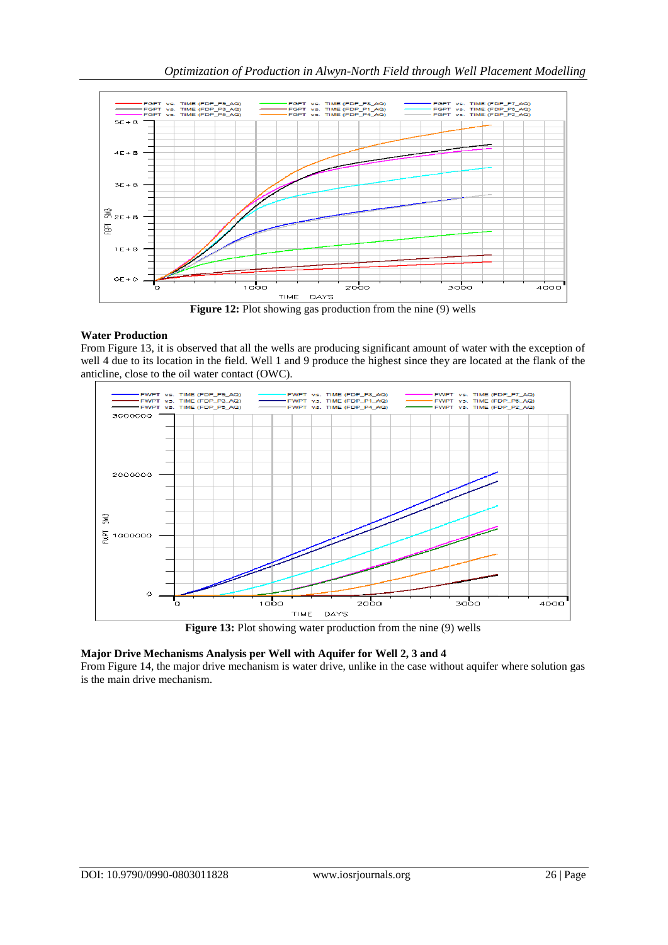

## **Water Production**

From Figure 13, it is observed that all the wells are producing significant amount of water with the exception of well 4 due to its location in the field. Well 1 and 9 produce the highest since they are located at the flank of the anticline, close to the oil water contact (OWC).



## **Major Drive Mechanisms Analysis per Well with Aquifer for Well 2, 3 and 4**

From Figure 14, the major drive mechanism is water drive, unlike in the case without aquifer where solution gas is the main drive mechanism.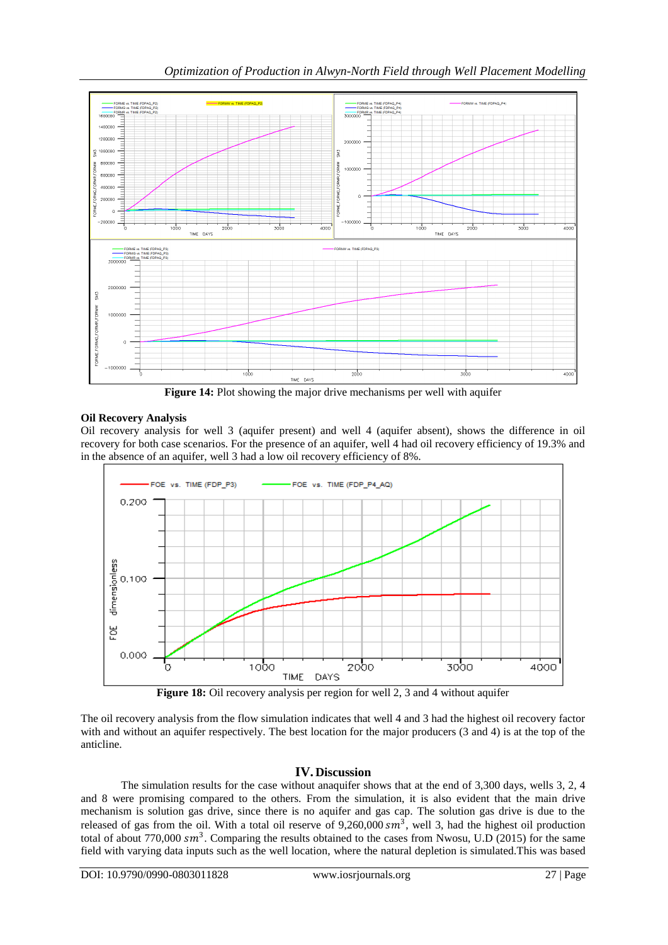

**Figure 14:** Plot showing the major drive mechanisms per well with aquifer

# **Oil Recovery Analysis**

Oil recovery analysis for well 3 (aquifer present) and well 4 (aquifer absent), shows the difference in oil recovery for both case scenarios. For the presence of an aquifer, well 4 had oil recovery efficiency of 19.3% and in the absence of an aquifer, well 3 had a low oil recovery efficiency of 8%.



**Figure 18:** Oil recovery analysis per region for well 2, 3 and 4 without aquifer

The oil recovery analysis from the flow simulation indicates that well 4 and 3 had the highest oil recovery factor with and without an aquifer respectively. The best location for the major producers (3 and 4) is at the top of the anticline.

## **IV. Discussion**

The simulation results for the case without anaquifer shows that at the end of 3,300 days, wells 3, 2, 4 and 8 were promising compared to the others. From the simulation, it is also evident that the main drive mechanism is solution gas drive, since there is no aquifer and gas cap. The solution gas drive is due to the released of gas from the oil. With a total oil reserve of  $9,260,000$   $\text{cm}^3$ , well 3, had the highest oil production total of about 770,000  $sm^3$ . Comparing the results obtained to the cases from Nwosu, U.D (2015) for the same field with varying data inputs such as the well location, where the natural depletion is simulated.This was based